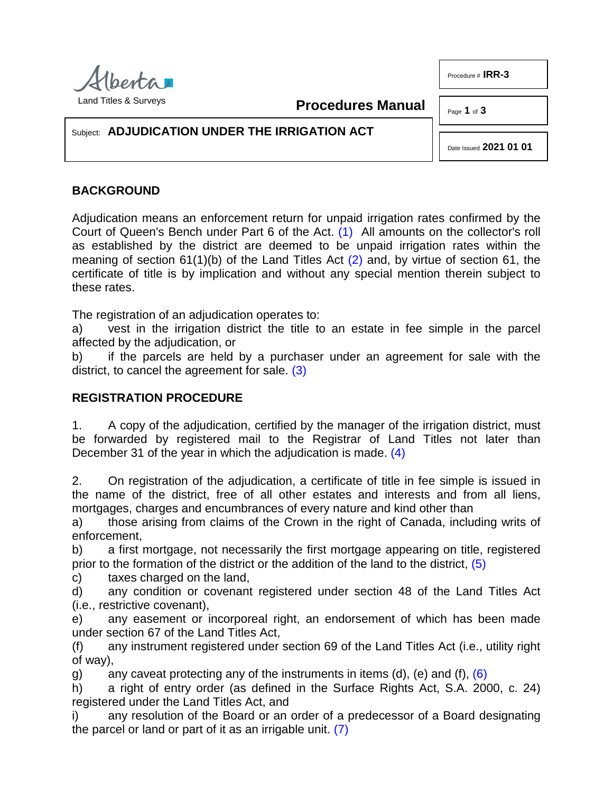

<span id="page-0-0"></span>**Procedures Manual**

Page **1** of **3**

Procedure # **IRR-3**

## Subject: **ADJUDICATION UNDER THE IRRIGATION ACT**

<span id="page-0-3"></span><span id="page-0-1"></span>Date Issued **2021 01 01**

## **BACKGROUND**

Adjudication means an enforcement return for unpaid irrigation rates confirmed by the Court of Queen's Bench under Part 6 of the Act. [\(1\)](#page-2-0) All amounts on the collector's roll as established by the district are deemed to be unpaid irrigation rates within the meaning of section 61(1)(b) of the Land Titles Act [\(2\)](#page-2-1) and, by virtue of section 61, the certificate of title is by implication and without any special mention therein subject to these rates.

The registration of an adjudication operates to:

a) vest in the irrigation district the title to an estate in fee simple in the parcel affected by the adjudication, or

<span id="page-0-2"></span>b) if the parcels are held by a purchaser under an agreement for sale with the district, to cancel the agreement for sale. [\(3\)](#page-2-2)

## **REGISTRATION PROCEDURE**

1. A copy of the adjudication, certified by the manager of the irrigation district, must be forwarded by registered mail to the Registrar of Land Titles not later than December 31 of the year in which the adjudication is made. [\(4\)](#page-2-3)

2. On registration of the adjudication, a certificate of title in fee simple is issued in the name of the district, free of all other estates and interests and from all liens, mortgages, charges and encumbrances of every nature and kind other than

a) those arising from claims of the Crown in the right of Canada, including writs of enforcement,

<span id="page-0-4"></span>b) a first mortgage, not necessarily the first mortgage appearing on title, registered prior to the formation of the district or the addition of the land to the district, [\(5\)](#page-2-4)

c) taxes charged on the land,

d) any condition or covenant registered under section 48 of the Land Titles Act (i.e., restrictive covenant),

e) any easement or incorporeal right, an endorsement of which has been made under section 67 of the Land Titles Act,

(f) any instrument registered under section 69 of the Land Titles Act (i.e., utility right of way),

<span id="page-0-5"></span>g) any caveat protecting any of the instruments in items (d), (e) and (f),  $(6)$ 

h) a right of entry order (as defined in the Surface Rights Act, S.A. 2000, c. 24) registered under the Land Titles Act, and

<span id="page-0-6"></span>i) any resolution of the Board or an order of a predecessor of a Board designating the parcel or land or part of it as an irrigable unit. [\(7\)](#page-2-6)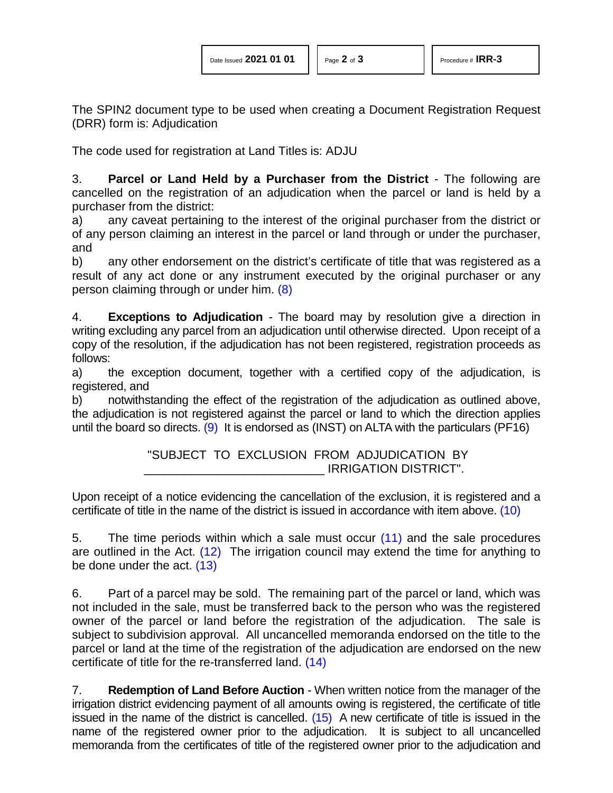| Date Issued 2021 01 01 |  |
|------------------------|--|
|------------------------|--|

The SPIN2 document type to be used when creating a Document Registration Request (DRR) form is: Adjudication

The code used for registration at Land Titles is: ADJU

3. **Parcel or Land Held by a Purchaser from the District** - The following are cancelled on the registration of an adjudication when the parcel or land is held by a purchaser from the district:

a) any caveat pertaining to the interest of the original purchaser from the district or of any person claiming an interest in the parcel or land through or under the purchaser, and

<span id="page-1-0"></span>b) any other endorsement on the district's certificate of title that was registered as a result of any act done or any instrument executed by the original purchaser or any person claiming through or under him. [\(8\)](#page-2-7)

4. **Exceptions to Adjudication** - The board may by resolution give a direction in writing excluding any parcel from an adjudication until otherwise directed. Upon receipt of a copy of the resolution, if the adjudication has not been registered, registration proceeds as follows:

a) the exception document, together with a certified copy of the adjudication, is registered, and

b) notwithstanding the effect of the registration of the adjudication as outlined above, the adjudication is not registered against the parcel or land to which the direction applies until the board so directs. [\(9\)](#page-2-8) It is endorsed as (INST) on ALTA with the particulars (PF16)

> <span id="page-1-5"></span><span id="page-1-4"></span><span id="page-1-3"></span><span id="page-1-2"></span><span id="page-1-1"></span>"SUBJECT TO EXCLUSION FROM ADJUDICATION BY \_\_\_\_\_\_\_\_\_\_\_\_\_\_\_\_\_\_\_\_\_\_\_\_\_\_\_ IRRIGATION DISTRICT".

Upon receipt of a notice evidencing the cancellation of the exclusion, it is registered and a certificate of title in the name of the district is issued in accordance with item above. [\(10\)](#page-2-9)

5. The time periods within which a sale must occur [\(11\)](#page-2-10) and the sale procedures are outlined in the Act. [\(12\)](#page-2-11) The irrigation council may extend the time for anything to be done under the act. [\(13\)](#page-2-12)

6. Part of a parcel may be sold. The remaining part of the parcel or land, which was not included in the sale, must be transferred back to the person who was the registered owner of the parcel or land before the registration of the adjudication. The sale is subject to subdivision approval. All uncancelled memoranda endorsed on the title to the parcel or land at the time of the registration of the adjudication are endorsed on the new certificate of title for the re-transferred land. [\(14\)](#page-2-13)

<span id="page-1-7"></span><span id="page-1-6"></span>7. **Redemption of Land Before Auction** - When written notice from the manager of the irrigation district evidencing payment of all amounts owing is registered, the certificate of title issued in the name of the district is cancelled.  $(15)$  A new certificate of title is issued in the name of the registered owner prior to the adjudication. It is subject to all uncancelled memoranda from the certificates of title of the registered owner prior to the adjudication and